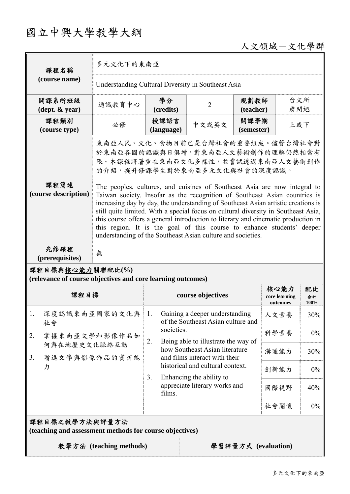# 國立中興大學教學大綱

### 人文領域-文化學群

| 課程名稱<br>(course name)                                                                                                                                                                                                                                                                                                                                                                                                                                                                                                                                                                            | 多元文化下的東南亞                                                                                                                                |                                                                                                                                                   |                                     |                    |                                   |                  |
|--------------------------------------------------------------------------------------------------------------------------------------------------------------------------------------------------------------------------------------------------------------------------------------------------------------------------------------------------------------------------------------------------------------------------------------------------------------------------------------------------------------------------------------------------------------------------------------------------|------------------------------------------------------------------------------------------------------------------------------------------|---------------------------------------------------------------------------------------------------------------------------------------------------|-------------------------------------|--------------------|-----------------------------------|------------------|
|                                                                                                                                                                                                                                                                                                                                                                                                                                                                                                                                                                                                  | Understanding Cultural Diversity in Southeast Asia                                                                                       |                                                                                                                                                   |                                     |                    |                                   |                  |
| 開課系所班級<br>$(\text{dept.} \& \text{ year})$                                                                                                                                                                                                                                                                                                                                                                                                                                                                                                                                                       | 通識教育中心                                                                                                                                   | 學分<br>(credits)                                                                                                                                   | 2                                   |                    | 台文所<br>規劃教師<br>詹閔旭<br>(teacher)   |                  |
| 課程類別<br>(course type)                                                                                                                                                                                                                                                                                                                                                                                                                                                                                                                                                                            | 必修                                                                                                                                       | 授課語言<br>(language)                                                                                                                                | 中文或英文                               | 開課學期<br>(semester) |                                   | 上或下              |
|                                                                                                                                                                                                                                                                                                                                                                                                                                                                                                                                                                                                  | 東南亞人民、文化、食物目前已是台灣社會的重要組成。儘管台灣社會對<br>於東南亞各國的認識與日俱增,對東南亞人文藝術創作的理解仍然相當有<br>限。本課程將著重在東南亞文化多樣性,並嘗試透過東南亞人文藝術創作<br>的介紹,提升修課學生對於東南亞多元文化與社會的深度認識。 |                                                                                                                                                   |                                     |                    |                                   |                  |
| 課程簡述<br>The peoples, cultures, and cuisines of Southeast Asia are now integral to<br>(course description)<br>Taiwan society. Insofar as the recognition of Southeast Asian countries is<br>increasing day by day, the understanding of Southeast Asian artistic creations is<br>still quite limited. With a special focus on cultural diversity in Southeast Asia,<br>this course offers a general introduction to literary and cinematic production in<br>this region. It is the goal of this course to enhance students' deeper<br>understanding of the Southeast Asian culture and societies. |                                                                                                                                          |                                                                                                                                                   |                                     |                    |                                   |                  |
| 先修課程<br>(prerequisites)                                                                                                                                                                                                                                                                                                                                                                                                                                                                                                                                                                          | 無                                                                                                                                        |                                                                                                                                                   |                                     |                    |                                   |                  |
| 課程目標與核心能力關聯配比(%)<br>(relevance of course objectives and core learning outcomes)                                                                                                                                                                                                                                                                                                                                                                                                                                                                                                                  |                                                                                                                                          |                                                                                                                                                   |                                     |                    |                                   |                  |
| 課程目標                                                                                                                                                                                                                                                                                                                                                                                                                                                                                                                                                                                             |                                                                                                                                          |                                                                                                                                                   | course objectives                   |                    | 核心能力<br>core learning<br>outcomes | 配比<br>合計<br>100% |
| 深度認識東南亞國家的文化與<br>1.<br>社會<br>掌握東南亞文學和影像作品如<br>2.<br>何與在地歷史文化脈絡互動<br>3 <sub>1</sub><br>增進文學與影像作品的賞析能<br>カ                                                                                                                                                                                                                                                                                                                                                                                                                                                                                         |                                                                                                                                          | Gaining a deeper understanding<br>1.<br>of the Southeast Asian culture and                                                                        |                                     |                    | 人文素養                              | 30%              |
|                                                                                                                                                                                                                                                                                                                                                                                                                                                                                                                                                                                                  |                                                                                                                                          | societies.<br>2.                                                                                                                                  | Being able to illustrate the way of |                    | 科學素養                              | $0\%$            |
|                                                                                                                                                                                                                                                                                                                                                                                                                                                                                                                                                                                                  |                                                                                                                                          | how Southeast Asian literature<br>and films interact with their<br>historical and cultural context.<br>Enhancing the ability to<br>3 <sub>1</sub> |                                     |                    | 溝通能力                              | 30%              |
|                                                                                                                                                                                                                                                                                                                                                                                                                                                                                                                                                                                                  |                                                                                                                                          |                                                                                                                                                   |                                     |                    | 創新能力                              | $0\%$            |
|                                                                                                                                                                                                                                                                                                                                                                                                                                                                                                                                                                                                  |                                                                                                                                          | films.                                                                                                                                            | appreciate literary works and       |                    | 國際視野                              | 40%              |
|                                                                                                                                                                                                                                                                                                                                                                                                                                                                                                                                                                                                  |                                                                                                                                          |                                                                                                                                                   |                                     |                    | 社會關懷                              | $0\%$            |
| 課程目標之教學方法與評量方法<br>(teaching and assessment methods for course objectives)                                                                                                                                                                                                                                                                                                                                                                                                                                                                                                                        |                                                                                                                                          |                                                                                                                                                   |                                     |                    |                                   |                  |
| 教學方法 (teaching methods)                                                                                                                                                                                                                                                                                                                                                                                                                                                                                                                                                                          | 學習評量方式 (evaluation)                                                                                                                      |                                                                                                                                                   |                                     |                    |                                   |                  |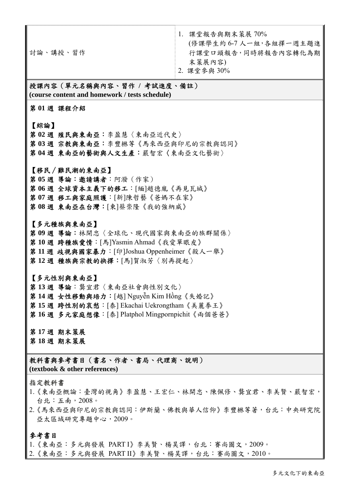討論、講授、習作 1. 課堂報告與期末策展 70% (修課學生約 6-7 人一組,各組擇一週主題進 行課堂口頭報告,同時將報告內容轉化為期 末策展內容) 2. 課堂參與 30%

#### 授課內容(單元名稱與內容、習作 **/** 考試進度、備註) **(course content and homework / tests schedule)**

第 **01** 週 課程介紹

#### 【綜論】

第 **02** 週 殖民與東南亞:李盈慧〈東南亞近代史〉 第 **03** 週 宗教與東南亞:李豐楙等《馬來西亞與印尼的宗教與認同》 第 **04** 週 東南亞的藝術與人文生產:嚴智宏〈東南亞文化藝術〉

【移民∕難民潮的東南亞】 第 **05** 週 導論:邀請講者:阿潑(作家) 第 **06** 週 全球資本主義下的移工:[緬]趙德胤《再見瓦城》 第 **07** 週 移工與家庭照護:[新]陳哲藝《爸媽不在家》 第 **08** 週 東南亞在台灣:[柬]蔡崇隆《我的強納威》

【多元種族與東南亞】 第 **09** 週 導論:林開忠〈全球化、現代國家與東南亞的族群關係〉 第 **10** 週 跨種族愛情:[馬]Yasmin Ahmad《我愛單眼皮》 第 **11** 週 歧視與國家暴力:[印]Joshua Oppenheimer《殺人一舉》 第 **12** 週 種族與宗教的抉擇:[馬]賀淑芳〈別再提起〉

【多元性別與東南亞】 第 **13** 週 導論:龔宜君〈東南亞社會與性別文化〉 第 **14** 週 女性移動與培力:[越] Nguyễn Kim Hồng《失婚記》 第 **15** 週 跨性別的哀愁:[泰] Ekachai Uekrongtham《美麗拳王》 第 **16** 週 多元家庭想像:[泰] Platphol Mingpornpichit《兩個爸爸》

第 **17** 週 期末策展 第 **18** 週 期末策展

教科書與參考書目(書名、作者、書局、代理商、說明) **(textbook & other references)**

#### 指定教科書

- 1.《東南亞概論:臺灣的視角》李盈慧、王宏仁、林開忠、陳佩修、龔宜君、李美賢、嚴智宏, 台北:五南,2008。
- 2.《馬來西亞與印尼的宗教與認同:伊斯蘭、佛教與華人信仰》李豐楙等著,台北:中央研究院 亞太區域研究專題中心,2009。

#### 參考書目

1.《東南亞:多元與發展 PART I》李美賢、楊昊譯,台北:賽尚圖文,2009。

2.《東南亞:多元與發展 PART II》李美賢、楊昊譯,台北:賽尚圖文,2010。